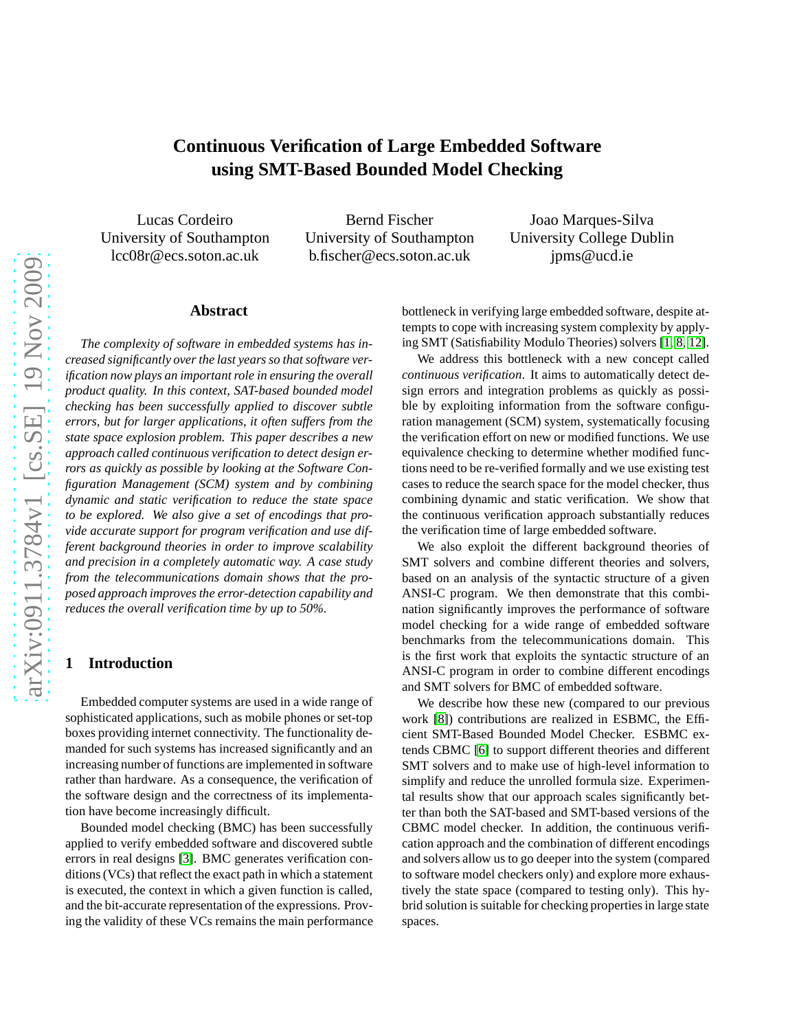# **Continuous Verification of Large Embedded Software using SMT-Based Bounded Model Checking**

Lucas Cordeiro University of Southampton lcc08r@ecs.soton.ac.uk

Bernd Fischer University of Southampton b.fischer@ecs.soton.ac.uk

Joao Marques-Silva University College Dublin jpms@ucd.ie

# **Abstract**

*The complexity of software in embedded systems has increased significantly over the last years so that software verification now plays an important role in ensuring the overall product quality. In this context, SAT-based bounded model checking has been successfully applied to discover subtle errors, but for larger applications, it often suffers from the state space explosion problem. This paper describes a new approach called continuous verification to detect design errors as quickly as possible by looking at the Software Configuration Management (SCM) system and by combining dynamic and static verification to reduce the state space to be explored. We also give a set of encodings that provide accurate support for program verification and use different background theories in order to improve scalability and precision in a completely automatic way. A case study from the telecommunications domain shows that the proposed approach improves the error-detection capability and reduces the overall verification time by up to 50%.*

# **1 Introduction**

Embedded computer systems are used in a wide range of sophisticated applications, such as mobile phones or set-top boxes providing internet connectivity. The functionality demanded for such systems has increased significantly and an increasing number of functions are implemented in software rather than hardware. As a consequence, the verification of the software design and the correctness of its implementation have become increasingly difficult.

Bounded model checking (BMC) has been successfully applied to verify embedded software and discovered subtle errors in real designs [\[3\]](#page-9-0). BMC generates verification conditions (VCs) that reflect the exact path in which a statement is executed, the context in which a given function is called, and the bit-accurate representation of the expressions. Proving the validity of these VCs remains the main performance bottleneck in verifying large embedded software, despite attempts to cope with increasing system complexity by applying SMT (Satisfiability Modulo Theories) solvers [\[1,](#page-9-1) [8,](#page-9-2) [12\]](#page-9-3).

We address this bottleneck with a new concept called *continuous verification*. It aims to automatically detect design errors and integration problems as quickly as possible by exploiting information from the software configuration management (SCM) system, systematically focusing the verification effort on new or modified functions. We use equivalence checking to determine whether modified functions need to be re-verified formally and we use existing test cases to reduce the search space for the model checker, thus combining dynamic and static verification. We show that the continuous verification approach substantially reduces the verification time of large embedded software.

We also exploit the different background theories of SMT solvers and combine different theories and solvers, based on an analysis of the syntactic structure of a given ANSI-C program. We then demonstrate that this combination significantly improves the performance of software model checking for a wide range of embedded software benchmarks from the telecommunications domain. This is the first work that exploits the syntactic structure of an ANSI-C program in order to combine different encodings and SMT solvers for BMC of embedded software.

We describe how these new (compared to our previous work [\[8\]](#page-9-2)) contributions are realized in ESBMC, the Efficient SMT-Based Bounded Model Checker. ESBMC extends CBMC [\[6\]](#page-9-4) to support different theories and different SMT solvers and to make use of high-level information to simplify and reduce the unrolled formula size. Experimental results show that our approach scales significantly better than both the SAT-based and SMT-based versions of the CBMC model checker. In addition, the continuous verification approach and the combination of different encodings and solvers allow us to go deeper into the system (compared to software model checkers only) and explore more exhaustively the state space (compared to testing only). This hybrid solution is suitable for checking properties in large state spaces.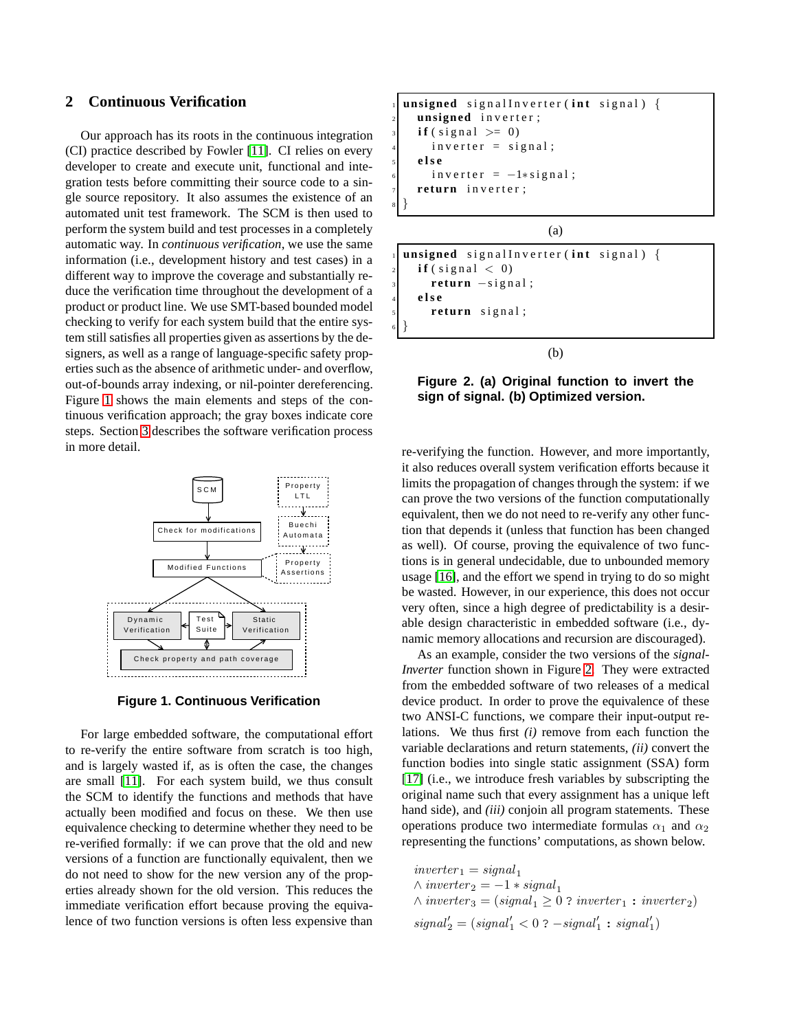# <span id="page-1-2"></span>**2 Continuous Verification**

Our approach has its roots in the continuous integration (CI) practice described by Fowler [\[11\]](#page-9-5). CI relies on every developer to create and execute unit, functional and integration tests before committing their source code to a single source repository. It also assumes the existence of an automated unit test framework. The SCM is then used to perform the system build and test processes in a completely automatic way. In *continuous verification*, we use the same information (i.e., development history and test cases) in a different way to improve the coverage and substantially reduce the verification time throughout the development of a product or product line. We use SMT-based bounded model checking to verify for each system build that the entire system still satisfies all properties given as assertions by the designers, as well as a range of language-specific safety properties such as the absence of arithmetic under- and overflow, out-of-bounds array indexing, or nil-pointer dereferencing. Figure [1](#page-1-0) shows the main elements and steps of the continuous verification approach; the gray boxes indicate core steps. Section [3](#page-3-0) describes the software verification process in more detail.



<span id="page-1-0"></span>**Figure 1. Continuous Verification**

For large embedded software, the computational effort to re-verify the entire software from scratch is too high, and is largely wasted if, as is often the case, the changes are small [\[11\]](#page-9-5). For each system build, we thus consult the SCM to identify the functions and methods that have actually been modified and focus on these. We then use equivalence checking to determine whether they need to be re-verified formally: if we can prove that the old and new versions of a function are functionally equivalent, then we do not need to show for the new version any of the properties already shown for the old version. This reduces the immediate verification effort because proving the equivalence of two function versions is often less expensive than

```
unsigned signalInverter (int signal) {
    unsigned inverter;
    \textbf{if} (\text{signal} > = 0)inverter = signal;5 e l s e
      inverter = -1*signal;return inverter;
8 }
```
(a)

```
unsigned signalInverter (int signal) {
    \textbf{if} (\text{signal} < 0)return -signal;
    4 e l s e
       return signal;
6 }
```
(b)

<span id="page-1-1"></span>**Figure 2. (a) Original function to invert the sign of signal. (b) Optimized version.**

re-verifying the function. However, and more importantly, it also reduces overall system verification efforts because it limits the propagation of changes through the system: if we can prove the two versions of the function computationally equivalent, then we do not need to re-verify any other function that depends it (unless that function has been changed as well). Of course, proving the equivalence of two functions is in general undecidable, due to unbounded memory usage [\[16\]](#page-9-6), and the effort we spend in trying to do so might be wasted. However, in our experience, this does not occur very often, since a high degree of predictability is a desirable design characteristic in embedded software (i.e., dynamic memory allocations and recursion are discouraged).

As an example, consider the two versions of the *signal-Inverter* function shown in Figure [2.](#page-1-1) They were extracted from the embedded software of two releases of a medical device product. In order to prove the equivalence of these two ANSI-C functions, we compare their input-output relations. We thus first *(i)* remove from each function the variable declarations and return statements, *(ii)* convert the function bodies into single static assignment (SSA) form [\[17\]](#page-9-7) (i.e., we introduce fresh variables by subscripting the original name such that every assignment has a unique left hand side), and *(iii)* conjoin all program statements. These operations produce two intermediate formulas  $\alpha_1$  and  $\alpha_2$ representing the functions' computations, as shown below.

 $inverter_1 = signal_1$  $\wedge$  inverter  $_2 = -1 * signal_1$  $\land$  inverter<sub>3</sub> = (signal<sub>1</sub>  $\geq$  0 ? inverter<sub>1</sub> : inverter<sub>2</sub>)  $signal'_{2} = (signal'_{1} < 0 ? -signal'_{1} : signal'_{1})$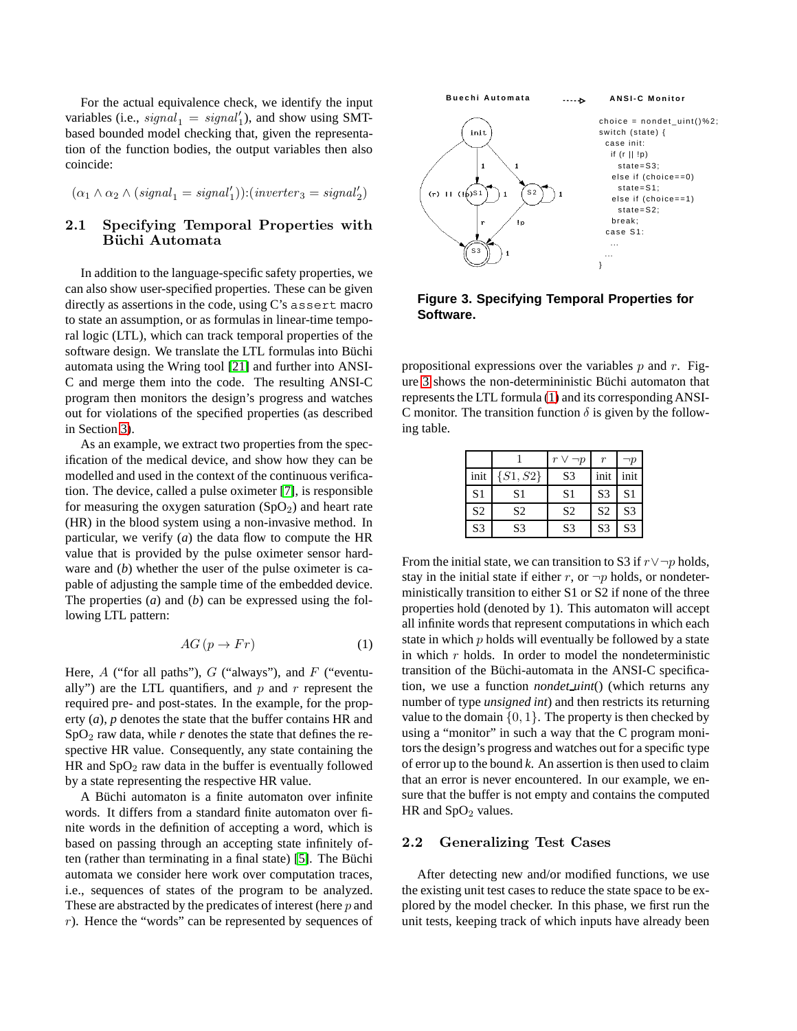For the actual equivalence check, we identify the input variables (i.e.,  $signal_1 = signal'_1$ ), and show using SMTbased bounded model checking that, given the representation of the function bodies, the output variables then also coincide:

$$
(\alpha_1 \wedge \alpha_2 \wedge (signal_1 = signal'_1)) : (inverter_3 = signal'_2)
$$

# 2.1 Specifying Temporal Properties with Büchi Automata

In addition to the language-specific safety properties, we can also show user-specified properties. These can be given directly as assertions in the code, using C's assert macro to state an assumption, or as formulas in linear-time temporal logic (LTL), which can track temporal properties of the software design. We translate the LTL formulas into Büchi automata using the Wring tool [\[21\]](#page-9-8) and further into ANSI-C and merge them into the code. The resulting ANSI-C program then monitors the design's progress and watches out for violations of the specified properties (as described in Section [3\)](#page-3-0).

As an example, we extract two properties from the specification of the medical device, and show how they can be modelled and used in the context of the continuous verification. The device, called a pulse oximeter [\[7\]](#page-9-9), is responsible for measuring the oxygen saturation  $(SpO<sub>2</sub>)$  and heart rate (HR) in the blood system using a non-invasive method. In particular, we verify (*a*) the data flow to compute the HR value that is provided by the pulse oximeter sensor hardware and (*b*) whether the user of the pulse oximeter is capable of adjusting the sample time of the embedded device. The properties (*a*) and (*b*) can be expressed using the following LTL pattern:

<span id="page-2-1"></span>
$$
AG\left(p \to Fr\right) \tag{1}
$$

Here,  $A$  ("for all paths"),  $G$  ("always"), and  $F$  ("eventually") are the LTL quantifiers, and  $p$  and  $r$  represent the required pre- and post-states. In the example, for the property (*a*), *p* denotes the state that the buffer contains HR and  $SpO<sub>2</sub>$  raw data, while *r* denotes the state that defines the respective HR value. Consequently, any state containing the HR and  $SpO<sub>2</sub>$  raw data in the buffer is eventually followed by a state representing the respective HR value.

A Büchi automaton is a finite automaton over infinite words. It differs from a standard finite automaton over finite words in the definition of accepting a word, which is based on passing through an accepting state infinitely of-ten (rather than terminating in a final state) [\[5\]](#page-9-10). The Büchi automata we consider here work over computation traces, i.e., sequences of states of the program to be analyzed. These are abstracted by the predicates of interest (here p and r). Hence the "words" can be represented by sequences of



# <span id="page-2-0"></span>**Figure 3. Specifying Temporal Properties for Software.**

propositional expressions over the variables  $p$  and  $r$ . Fig-ure [3](#page-2-0) shows the non-determininistic Büchi automaton that represents the LTL formula [\(1\)](#page-2-1) and its corresponding ANSI-C monitor. The transition function  $\delta$  is given by the following table.

|                |                |                | r              | ۱p             |
|----------------|----------------|----------------|----------------|----------------|
| init           | $\{S1, S2\}$   | S <sub>3</sub> | init           | init           |
| S <sub>1</sub> | S <sub>1</sub> | S <sub>1</sub> | S <sub>3</sub> | S <sub>1</sub> |
| S <sub>2</sub> | S <sub>2</sub> | S <sub>2</sub> | S <sub>2</sub> | S <sub>3</sub> |
| S <sub>3</sub> | S <sub>3</sub> | S <sub>3</sub> | S <sub>3</sub> | S <sub>3</sub> |

From the initial state, we can transition to S3 if  $r \vee \neg p$  holds, stay in the initial state if either r, or  $\neg p$  holds, or nondeterministically transition to either S1 or S2 if none of the three properties hold (denoted by 1). This automaton will accept all infinite words that represent computations in which each state in which  $p$  holds will eventually be followed by a state in which  $r$  holds. In order to model the nondeterministic transition of the Büchi-automata in the ANSI-C specification, we use a function *nondet uint*() (which returns any number of type *unsigned int*) and then restricts its returning value to the domain  $\{0, 1\}$ . The property is then checked by using a "monitor" in such a way that the C program monitors the design's progress and watches out for a specific type of error up to the bound *k*. An assertion is then used to claim that an error is never encountered. In our example, we ensure that the buffer is not empty and contains the computed HR and  $SpO<sub>2</sub>$  values.

# 2.2 Generalizing Test Cases

After detecting new and/or modified functions, we use the existing unit test cases to reduce the state space to be explored by the model checker. In this phase, we first run the unit tests, keeping track of which inputs have already been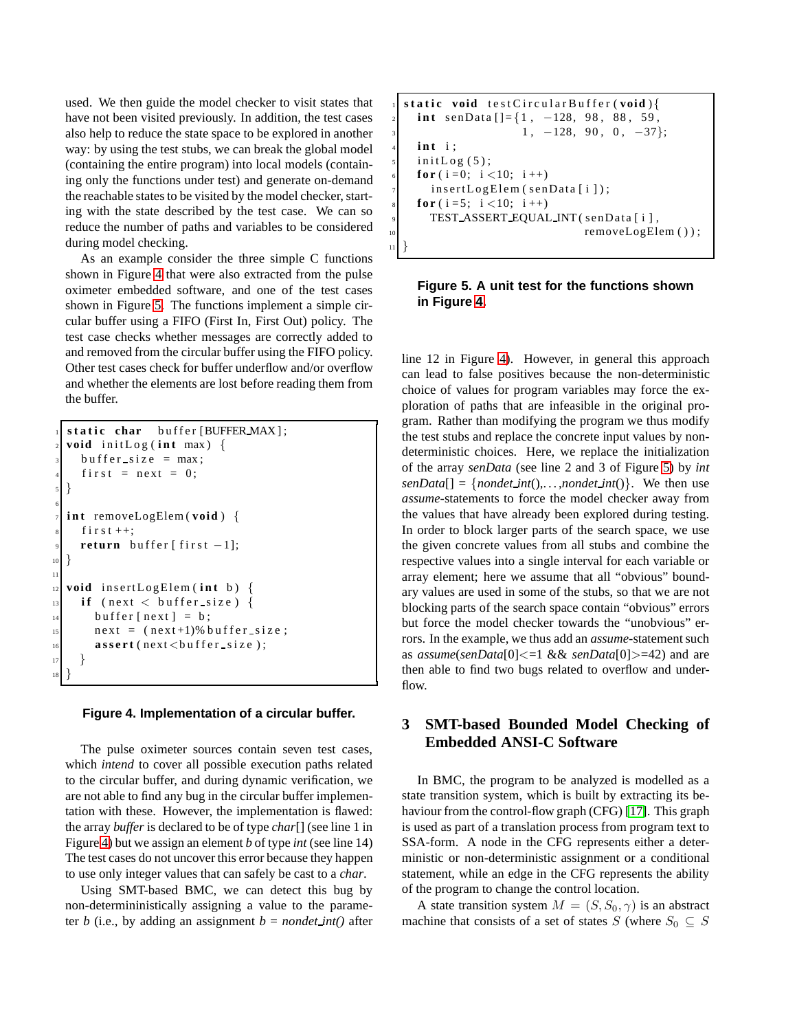used. We then guide the model checker to visit states that have not been visited previously. In addition, the test cases also help to reduce the state space to be explored in another way: by using the test stubs, we can break the global model (containing the entire program) into local models (containing only the functions under test) and generate on-demand the reachable states to be visited by the model checker, starting with the state described by the test case. We can so reduce the number of paths and variables to be considered during model checking.

As an example consider the three simple C functions shown in Figure [4](#page-3-1) that were also extracted from the pulse oximeter embedded software, and one of the test cases shown in Figure [5.](#page-3-2) The functions implement a simple circular buffer using a FIFO (First In, First Out) policy. The test case checks whether messages are correctly added to and removed from the circular buffer using the FIFO policy. Other test cases check for buffer underflow and/or overflow and whether the elements are lost before reading them from the buffer.

```
static char buffer [BUFFER_MAX];
  void initLog(int max) {
     b u f f e r s i z e = max ;
     first = next = 0;5 }
6
  int removeLogElem (void) {
     f i r s t ++;return buffer [first -1];
1011
12 void insertLogElem (int b) {
13 if (next < buffer size) {
\begin{array}{rcl} \text{14} \end{array} buffer [next] = b;
n \in \mathbb{R} next = (n \in \mathbb{R} + 1)% buffer size;
16 assert (next < buffer size);
17 }
18 }
```
#### <span id="page-3-1"></span>**Figure 4. Implementation of a circular buffer.**

The pulse oximeter sources contain seven test cases, which *intend* to cover all possible execution paths related to the circular buffer, and during dynamic verification, we are not able to find any bug in the circular buffer implementation with these. However, the implementation is flawed: the array *buffer* is declared to be of type *char*[] (see line 1 in Figure [4\)](#page-3-1) but we assign an element *b* of type *int* (see line 14) The test cases do not uncover this error because they happen to use only integer values that can safely be cast to a *char*.

Using SMT-based BMC, we can detect this bug by non-determininistically assigning a value to the parameter *b* (i.e., by adding an assignment  $b = n$  *ondet int*() after

```
static void testCircularBuffer (void){
  int senData [ ] = {1, -128, 98, 88, 59,
                   1, -128, 90, 0, -37;
  int i;
  initLog(5);for (i = 0; i < 10; i + 1)
    insertLogElem (senData[i]);
  for (i = 5; i < 10; i + j)
    TEST_ASSERT_EQUAL_INT (senData [i],
                             removeLogElem () );
```
## <span id="page-3-2"></span>**Figure 5. A unit test for the functions shown in Figure [4.](#page-3-1)**

<sup>11</sup> }

line 12 in Figure [4\)](#page-3-1). However, in general this approach can lead to false positives because the non-deterministic choice of values for program variables may force the exploration of paths that are infeasible in the original program. Rather than modifying the program we thus modify the test stubs and replace the concrete input values by nondeterministic choices. Here, we replace the initialization of the array *senData* (see line 2 and 3 of Figure [5\)](#page-3-2) by *int*  $senData[] = {nondet-int(), \ldots, nondet-int()}.$  We then use *assume*-statements to force the model checker away from the values that have already been explored during testing. In order to block larger parts of the search space, we use the given concrete values from all stubs and combine the respective values into a single interval for each variable or array element; here we assume that all "obvious" boundary values are used in some of the stubs, so that we are not blocking parts of the search space contain "obvious" errors but force the model checker towards the "unobvious" errors. In the example, we thus add an *assume*-statement such as *assume*(*senData*[0]<=1 && *senData*[0]>=42) and are then able to find two bugs related to overflow and underflow.

# <span id="page-3-0"></span>**3 SMT-based Bounded Model Checking of Embedded ANSI-C Software**

In BMC, the program to be analyzed is modelled as a state transition system, which is built by extracting its behaviour from the control-flow graph (CFG) [\[17\]](#page-9-7). This graph is used as part of a translation process from program text to SSA-form. A node in the CFG represents either a deterministic or non-deterministic assignment or a conditional statement, while an edge in the CFG represents the ability of the program to change the control location.

A state transition system  $M = (S, S_0, \gamma)$  is an abstract machine that consists of a set of states S (where  $S_0 \subseteq S$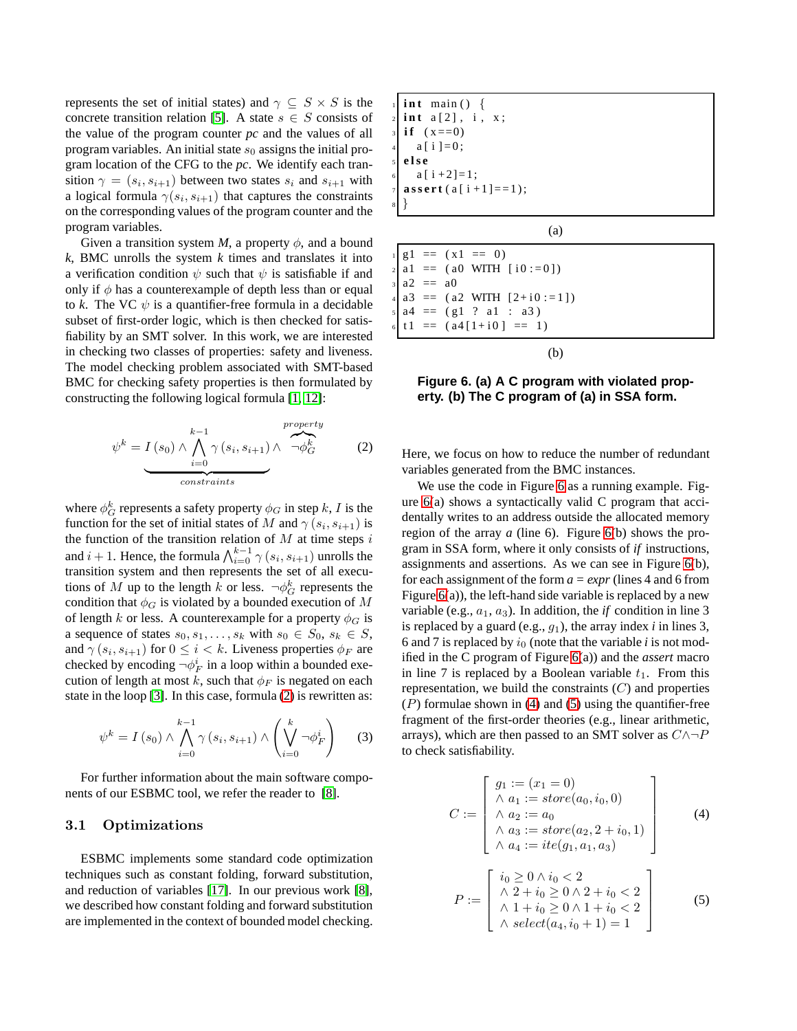represents the set of initial states) and  $\gamma \subseteq S \times S$  is the concrete transition relation [\[5\]](#page-9-10). A state  $s \in S$  consists of the value of the program counter *pc* and the values of all program variables. An initial state  $s_0$  assigns the initial program location of the CFG to the *pc*. We identify each transition  $\gamma = (s_i, s_{i+1})$  between two states  $s_i$  and  $s_{i+1}$  with a logical formula  $\gamma(s_i, s_{i+1})$  that captures the constraints on the corresponding values of the program counter and the program variables.

Given a transition system *M*, a property  $\phi$ , and a bound *k*, BMC unrolls the system *k* times and translates it into a verification condition  $\psi$  such that  $\psi$  is satisfiable if and only if  $\phi$  has a counterexample of depth less than or equal to *k*. The VC  $\psi$  is a quantifier-free formula in a decidable subset of first-order logic, which is then checked for satisfiability by an SMT solver. In this work, we are interested in checking two classes of properties: safety and liveness. The model checking problem associated with SMT-based BMC for checking safety properties is then formulated by constructing the following logical formula [\[1,](#page-9-1) [12\]](#page-9-3):

<span id="page-4-0"></span>
$$
\psi^{k} = I(s_{0}) \wedge \bigwedge_{i=0}^{k-1} \gamma(s_{i}, s_{i+1}) \wedge \overbrace{\neg \phi^{k}_{G}}^{property}
$$
 (2)

where  $\phi_G^k$  represents a safety property  $\phi_G$  in step k, I is the function for the set of initial states of M and  $\gamma(s_i, s_{i+1})$  is the function of the transition relation of  $M$  at time steps i and  $i + 1$ . Hence, the formula  $\bigwedge_{i=0}^{k-1} \gamma(s_i, s_{i+1})$  unrolls the transition system and then represents the set of all executions of M up to the length k or less.  $\neg \phi_G^k$  represents the condition that  $\phi_G$  is violated by a bounded execution of M of length k or less. A counterexample for a property  $\phi_G$  is a sequence of states  $s_0, s_1, \ldots, s_k$  with  $s_0 \in S_0, s_k \in S$ , and  $\gamma(s_i, s_{i+1})$  for  $0 \leq i < k$ . Liveness properties  $\phi_F$  are checked by encoding  $\neg \phi_F^i$  in a loop within a bounded execution of length at most k, such that  $\phi_F$  is negated on each state in the loop [\[3\]](#page-9-0). In this case, formula [\(2\)](#page-4-0) is rewritten as:

$$
\psi^k = I(s_0) \wedge \bigwedge_{i=0}^{k-1} \gamma(s_i, s_{i+1}) \wedge \left(\bigvee_{i=0}^k \neg \phi_F^i\right) \tag{3}
$$

For further information about the main software components of our ESBMC tool, we refer the reader to [\[8\]](#page-9-2).

# 3.1 Optimizations

ESBMC implements some standard code optimization techniques such as constant folding, forward substitution, and reduction of variables [\[17\]](#page-9-7). In our previous work [\[8\]](#page-9-2), we described how constant folding and forward substitution are implemented in the context of bounded model checking.

$$
\begin{array}{ll}\n1 & \text{int } \text{min}() & \{ \\
2 & \text{int } a [2], i, x; \\
3 & \text{if } (x == 0) \\
4 & a[i] = 0; \\
5 & \text{else} \\
6 & a[i + 2] = 1; \\
7 & \text{assert}(a[i + 1] == 1); \\
8 & \end{array}
$$

(a)

 $g1 = (x1 == 0)$  $a1 = (a0 \text{ WITH} [i0 := 0])$  $a2 = a0$  $a3 = (a2 \text{ WITH} [2+i0 := 1])$  $a4 = (g1 ? a1 : a3)$  $t1 = (a4[1+i0] == 1)$ 

(b)

<span id="page-4-1"></span>**Figure 6. (a) A C program with violated property. (b) The C program of (a) in SSA form.**

Here, we focus on how to reduce the number of redundant variables generated from the BMC instances.

We use the code in Figure [6](#page-4-1) as a running example. Figure  $6(a)$  shows a syntactically valid C program that accidentally writes to an address outside the allocated memory region of the array *a* (line 6). Figure [6\(](#page-4-1)b) shows the program in SSA form, where it only consists of *if* instructions, assignments and assertions. As we can see in Figure [6\(](#page-4-1)b), for each assignment of the form *a = expr* (lines 4 and 6 from Figure  $6(a)$ ), the left-hand side variable is replaced by a new variable (e.g.,  $a_1$ ,  $a_3$ ). In addition, the *if* condition in line 3 is replaced by a guard (e.g.,  $g_1$ ), the array index *i* in lines 3, 6 and 7 is replaced by  $i_0$  (note that the variable  $i$  is not modified in the C program of Figure [6\(](#page-4-1)a)) and the *assert* macro in line 7 is replaced by a Boolean variable  $t_1$ . From this representation, we build the constraints  $(C)$  and properties  $(P)$  formulae shown in [\(4\)](#page-4-2) and [\(5\)](#page-4-3) using the quantifier-free fragment of the first-order theories (e.g., linear arithmetic, arrays), which are then passed to an SMT solver as  $C \land \neg P$ to check satisfiability.

<span id="page-4-2"></span>
$$
C := \begin{bmatrix} g_1 := (x_1 = 0) \\ \wedge a_1 := store(a_0, i_0, 0) \\ \wedge a_2 := a_0 \\ \wedge a_3 := store(a_2, 2 + i_0, 1) \\ \wedge a_4 := ite(g_1, a_1, a_3) \end{bmatrix}
$$
(4)  

$$
P := \begin{bmatrix} i_0 \ge 0 \land i_0 < 2 \\ \wedge 2 + i_0 \ge 0 \land 2 + i_0 < 2 \\ \wedge 1 + i_0 \ge 0 \land 1 + i_0 < 2 \end{bmatrix}
$$
(5)

<span id="page-4-3"></span> $\wedge \; select(a_4, i_0 + 1) = 1$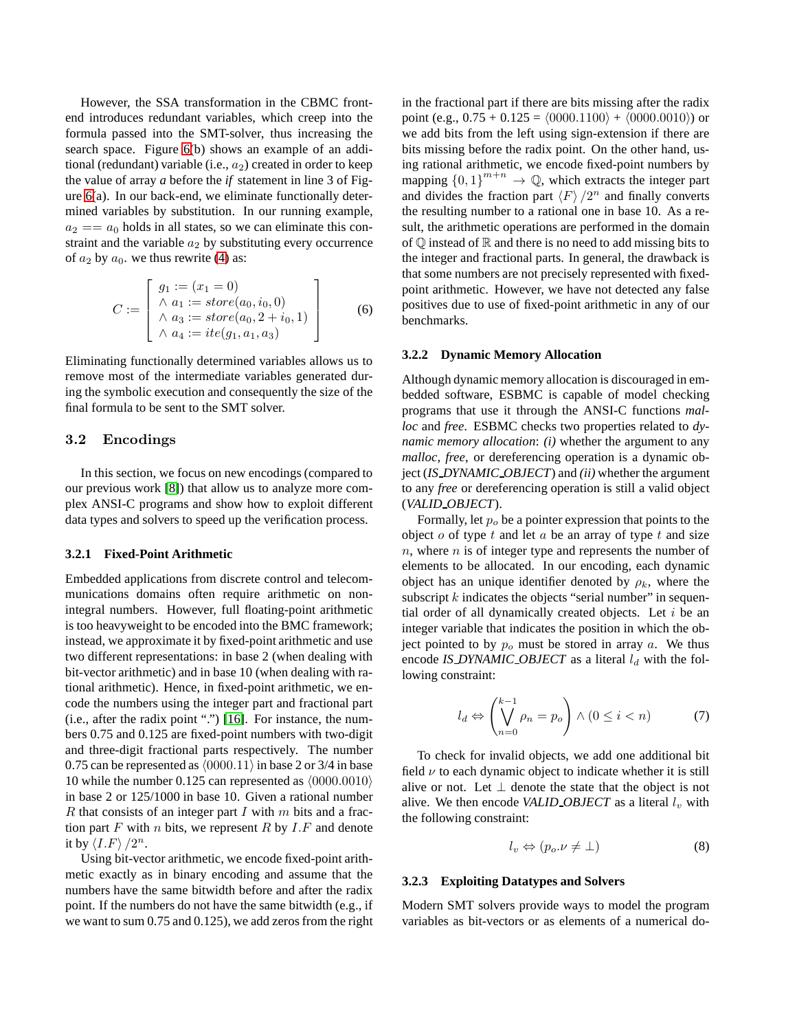However, the SSA transformation in the CBMC frontend introduces redundant variables, which creep into the formula passed into the SMT-solver, thus increasing the search space. Figure [6\(](#page-4-1)b) shows an example of an additional (redundant) variable (i.e.,  $a_2$ ) created in order to keep the value of array *a* before the *if* statement in line 3 of Figure [6\(](#page-4-1)a). In our back-end, we eliminate functionally determined variables by substitution. In our running example,  $a_2 = a_0$  holds in all states, so we can eliminate this constraint and the variable  $a_2$  by substituting every occurrence of  $a_2$  by  $a_0$ . we thus rewrite [\(4\)](#page-4-2) as:

$$
C := \begin{bmatrix} g_1 := (x_1 = 0) \\ \wedge a_1 := store(a_0, i_0, 0) \\ \wedge a_3 := store(a_0, 2 + i_0, 1) \\ \wedge a_4 := ite(g_1, a_1, a_3) \end{bmatrix}
$$
(6)

Eliminating functionally determined variables allows us to remove most of the intermediate variables generated during the symbolic execution and consequently the size of the final formula to be sent to the SMT solver.

### 3.2 Encodings

In this section, we focus on new encodings (compared to our previous work [\[8\]](#page-9-2)) that allow us to analyze more complex ANSI-C programs and show how to exploit different data types and solvers to speed up the verification process.

#### **3.2.1 Fixed-Point Arithmetic**

Embedded applications from discrete control and telecommunications domains often require arithmetic on nonintegral numbers. However, full floating-point arithmetic is too heavyweight to be encoded into the BMC framework; instead, we approximate it by fixed-point arithmetic and use two different representations: in base 2 (when dealing with bit-vector arithmetic) and in base 10 (when dealing with rational arithmetic). Hence, in fixed-point arithmetic, we encode the numbers using the integer part and fractional part (i.e., after the radix point ".") [\[16\]](#page-9-6). For instance, the numbers 0.75 and 0.125 are fixed-point numbers with two-digit and three-digit fractional parts respectively. The number 0.75 can be represented as  $\langle 0000.11 \rangle$  in base 2 or 3/4 in base 10 while the number 0.125 can represented as  $\langle 0000.0010 \rangle$ in base 2 or 125/1000 in base 10. Given a rational number  $R$  that consists of an integer part  $I$  with  $m$  bits and a fraction part  $F$  with  $n$  bits, we represent  $R$  by  $I.F$  and denote it by  $\langle I.F \rangle /2^n$ .

Using bit-vector arithmetic, we encode fixed-point arithmetic exactly as in binary encoding and assume that the numbers have the same bitwidth before and after the radix point. If the numbers do not have the same bitwidth (e.g., if we want to sum 0.75 and 0.125), we add zeros from the right in the fractional part if there are bits missing after the radix point (e.g.,  $0.75 + 0.125 = (0000.1100) + (0000.0010)$ ) or we add bits from the left using sign-extension if there are bits missing before the radix point. On the other hand, using rational arithmetic, we encode fixed-point numbers by mapping  $\{0,1\}^{m+n} \to \mathbb{Q}$ , which extracts the integer part and divides the fraction part  $\langle F \rangle /2^n$  and finally converts the resulting number to a rational one in base 10. As a result, the arithmetic operations are performed in the domain of  $\mathbb Q$  instead of  $\mathbb R$  and there is no need to add missing bits to the integer and fractional parts. In general, the drawback is that some numbers are not precisely represented with fixedpoint arithmetic. However, we have not detected any false positives due to use of fixed-point arithmetic in any of our benchmarks.

#### **3.2.2 Dynamic Memory Allocation**

Although dynamic memory allocation is discouraged in embedded software, ESBMC is capable of model checking programs that use it through the ANSI-C functions *malloc* and *free*. ESBMC checks two properties related to *dynamic memory allocation*: *(i)* whether the argument to any *malloc*, *free*, or dereferencing operation is a dynamic object (*IS DYNAMIC OBJECT*) and *(ii)* whether the argument to any *free* or dereferencing operation is still a valid object (*VALID OBJECT*).

Formally, let  $p<sub>o</sub>$  be a pointer expression that points to the object  $o$  of type  $t$  and let  $a$  be an array of type  $t$  and size  $n$ , where  $n$  is of integer type and represents the number of elements to be allocated. In our encoding, each dynamic object has an unique identifier denoted by  $\rho_k$ , where the subscript  $k$  indicates the objects "serial number" in sequential order of all dynamically created objects. Let  $i$  be an integer variable that indicates the position in which the object pointed to by  $p<sub>o</sub>$  must be stored in array  $a$ . We thus encode *IS DYNAMIC OBJECT* as a literal  $l_d$  with the following constraint:

$$
l_d \Leftrightarrow \left(\bigvee_{n=0}^{k-1} \rho_n = p_o\right) \wedge (0 \le i < n) \tag{7}
$$

To check for invalid objects, we add one additional bit field  $\nu$  to each dynamic object to indicate whether it is still alive or not. Let  $\perp$  denote the state that the object is not alive. We then encode *VALID\_OBJECT* as a literal  $l_v$  with the following constraint:

$$
l_v \Leftrightarrow (p_o. \nu \neq \bot) \tag{8}
$$

#### **3.2.3 Exploiting Datatypes and Solvers**

Modern SMT solvers provide ways to model the program variables as bit-vectors or as elements of a numerical do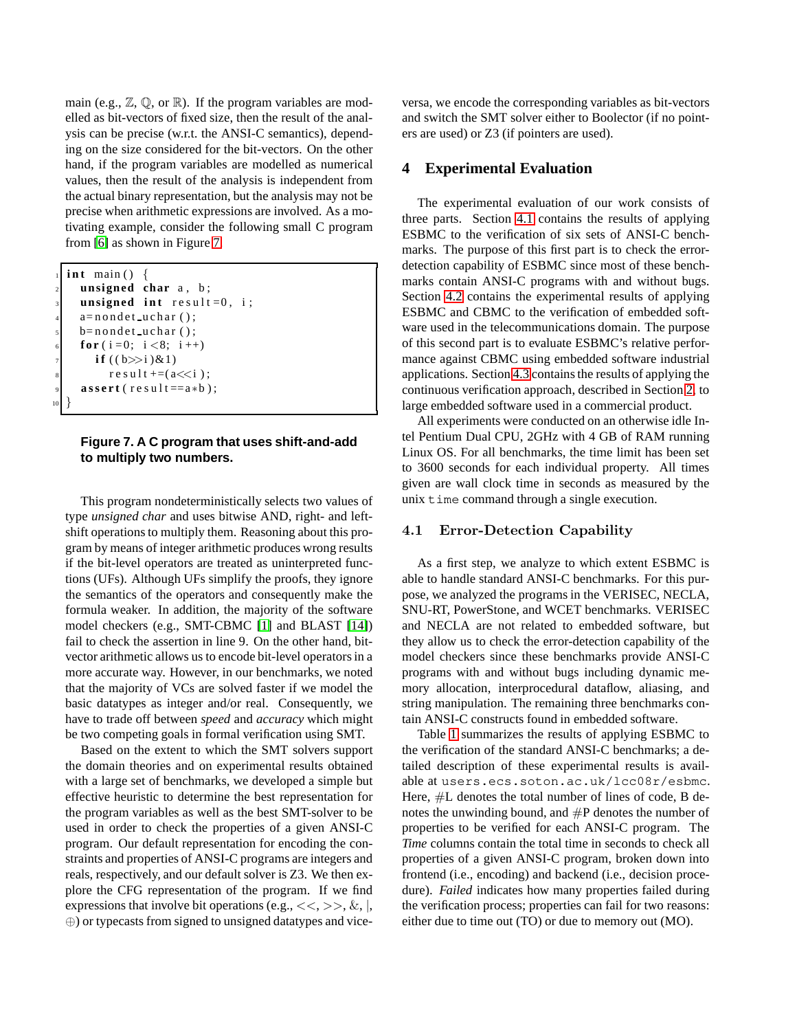main (e.g.,  $\mathbb{Z}, \mathbb{Q},$  or  $\mathbb{R}$ ). If the program variables are modelled as bit-vectors of fixed size, then the result of the analysis can be precise (w.r.t. the ANSI-C semantics), depending on the size considered for the bit-vectors. On the other hand, if the program variables are modelled as numerical values, then the result of the analysis is independent from the actual binary representation, but the analysis may not be precise when arithmetic expressions are involved. As a motivating example, consider the following small C program from [\[6\]](#page-9-4) as shown in Figure [7.](#page-6-0)

```
int main () {
     unsigned char a, b;
     unsigned int result =0, i;
     a = n ondet _uchar();
     b = n on det_uchar();
     for (i = 0; i < 8; i + 1)
        if ((b \gg i) \& 1)r e s u 1 t += (a \ll i);\textbf{assert} (\text{result} == a * b);
10 }
```
# <span id="page-6-0"></span>**Figure 7. A C program that uses shift-and-add to multiply two numbers.**

This program nondeterministically selects two values of type *unsigned char* and uses bitwise AND, right- and leftshift operations to multiply them. Reasoning about this program by means of integer arithmetic produces wrong results if the bit-level operators are treated as uninterpreted functions (UFs). Although UFs simplify the proofs, they ignore the semantics of the operators and consequently make the formula weaker. In addition, the majority of the software model checkers (e.g., SMT-CBMC [\[1\]](#page-9-1) and BLAST [\[14\]](#page-9-11)) fail to check the assertion in line 9. On the other hand, bitvector arithmetic allows us to encode bit-level operators in a more accurate way. However, in our benchmarks, we noted that the majority of VCs are solved faster if we model the basic datatypes as integer and/or real. Consequently, we have to trade off between *speed* and *accuracy* which might be two competing goals in formal verification using SMT.

Based on the extent to which the SMT solvers support the domain theories and on experimental results obtained with a large set of benchmarks, we developed a simple but effective heuristic to determine the best representation for the program variables as well as the best SMT-solver to be used in order to check the properties of a given ANSI-C program. Our default representation for encoding the constraints and properties of ANSI-C programs are integers and reals, respectively, and our default solver is Z3. We then explore the CFG representation of the program. If we find expressions that involve bit operations (e.g.,  $<<, >>, \&, |,$ ⊕) or typecasts from signed to unsigned datatypes and viceversa, we encode the corresponding variables as bit-vectors and switch the SMT solver either to Boolector (if no pointers are used) or Z3 (if pointers are used).

# **4 Experimental Evaluation**

The experimental evaluation of our work consists of three parts. Section [4.1](#page-6-1) contains the results of applying ESBMC to the verification of six sets of ANSI-C benchmarks. The purpose of this first part is to check the errordetection capability of ESBMC since most of these benchmarks contain ANSI-C programs with and without bugs. Section [4.2](#page-7-0) contains the experimental results of applying ESBMC and CBMC to the verification of embedded software used in the telecommunications domain. The purpose of this second part is to evaluate ESBMC's relative performance against CBMC using embedded software industrial applications. Section [4.3](#page-7-1) contains the results of applying the continuous verification approach, described in Section [2,](#page-1-2) to large embedded software used in a commercial product.

All experiments were conducted on an otherwise idle Intel Pentium Dual CPU, 2GHz with 4 GB of RAM running Linux OS. For all benchmarks, the time limit has been set to 3600 seconds for each individual property. All times given are wall clock time in seconds as measured by the unix time command through a single execution.

# <span id="page-6-1"></span>4.1 Error-Detection Capability

As a first step, we analyze to which extent ESBMC is able to handle standard ANSI-C benchmarks. For this purpose, we analyzed the programs in the VERISEC, NECLA, SNU-RT, PowerStone, and WCET benchmarks. VERISEC and NECLA are not related to embedded software, but they allow us to check the error-detection capability of the model checkers since these benchmarks provide ANSI-C programs with and without bugs including dynamic memory allocation, interprocedural dataflow, aliasing, and string manipulation. The remaining three benchmarks contain ANSI-C constructs found in embedded software.

Table [1](#page-7-2) summarizes the results of applying ESBMC to the verification of the standard ANSI-C benchmarks; a detailed description of these experimental results is available at users.ecs.soton.ac.uk/lcc08r/esbmc. Here,  $#L$  denotes the total number of lines of code, B denotes the unwinding bound, and  $\#P$  denotes the number of properties to be verified for each ANSI-C program. The *Time* columns contain the total time in seconds to check all properties of a given ANSI-C program, broken down into frontend (i.e., encoding) and backend (i.e., decision procedure). *Failed* indicates how many properties failed during the verification process; properties can fail for two reasons: either due to time out (TO) or due to memory out (MO).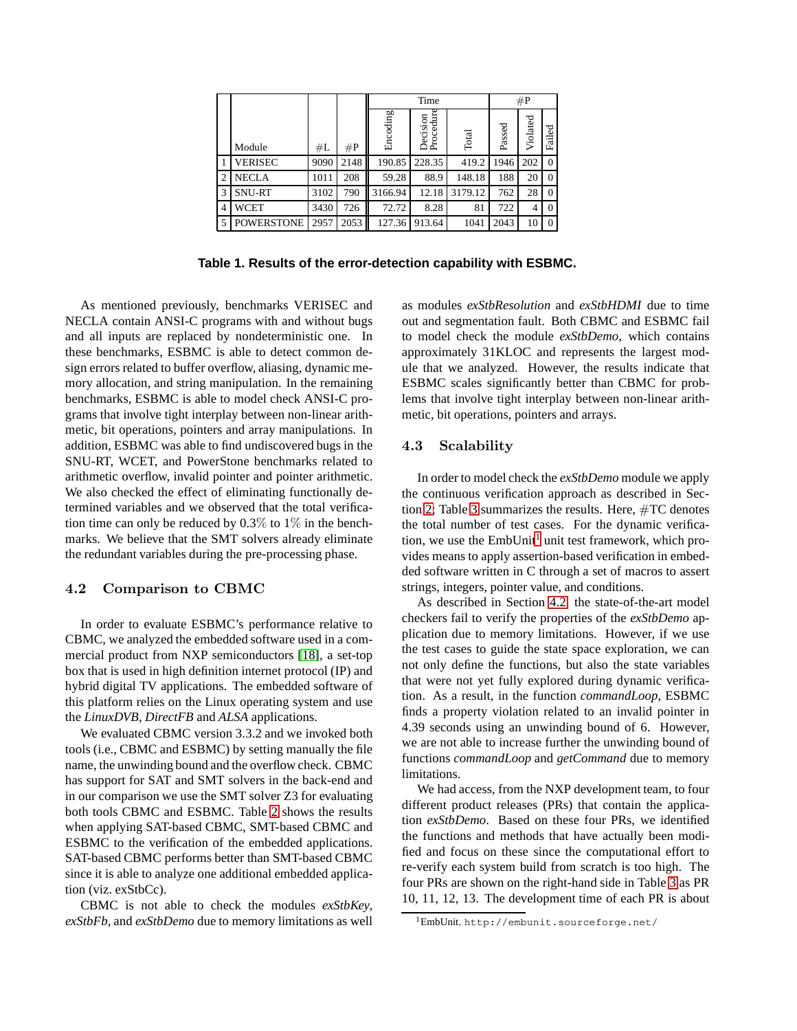|                |                   |      |       |          | Time                  | #P      |        |          |          |
|----------------|-------------------|------|-------|----------|-----------------------|---------|--------|----------|----------|
|                | Module            | #L   | $\#P$ | Encoding | Procedure<br>Decision | Total   | Passed | Violated | Failed   |
|                | VERISEC           | 9090 | 2148  | 190.85   | 228.35                | 419.2   | 1946   | 202      | $\Omega$ |
| $\overline{2}$ | NECLA             | 1011 | 208   | 59.28    | 88.9                  | 148.18  | 188    | 20       | $\theta$ |
| 3              | <b>SNU-RT</b>     | 3102 | 790   | 3166.94  | 12.18                 | 3179.12 | 762    | 28       | $\theta$ |
| 4              | WCET              | 3430 | 726   | 72.72    | 8.28                  | 81      | 722    | 4        | $\Omega$ |
| 5              | <b>POWERSTONE</b> | 2957 | 2053  | 127.36   | 913.64                | 1041    | 2043   | 10       | $\theta$ |

<span id="page-7-2"></span>**Table 1. Results of the error-detection capability with ESBMC.**

As mentioned previously, benchmarks VERISEC and NECLA contain ANSI-C programs with and without bugs and all inputs are replaced by nondeterministic one. In these benchmarks, ESBMC is able to detect common design errors related to buffer overflow, aliasing, dynamic memory allocation, and string manipulation. In the remaining benchmarks, ESBMC is able to model check ANSI-C programs that involve tight interplay between non-linear arithmetic, bit operations, pointers and array manipulations. In addition, ESBMC was able to find undiscovered bugs in the SNU-RT, WCET, and PowerStone benchmarks related to arithmetic overflow, invalid pointer and pointer arithmetic. We also checked the effect of eliminating functionally determined variables and we observed that the total verification time can only be reduced by 0.3% to 1% in the benchmarks. We believe that the SMT solvers already eliminate the redundant variables during the pre-processing phase.

# <span id="page-7-0"></span>4.2 Comparison to CBMC

In order to evaluate ESBMC's performance relative to CBMC, we analyzed the embedded software used in a commercial product from NXP semiconductors [\[18\]](#page-9-12), a set-top box that is used in high definition internet protocol (IP) and hybrid digital TV applications. The embedded software of this platform relies on the Linux operating system and use the *LinuxDVB*, *DirectFB* and *ALSA* applications.

We evaluated CBMC version 3.3.2 and we invoked both tools (i.e., CBMC and ESBMC) by setting manually the file name, the unwinding bound and the overflow check. CBMC has support for SAT and SMT solvers in the back-end and in our comparison we use the SMT solver Z3 for evaluating both tools CBMC and ESBMC. Table [2](#page-8-0) shows the results when applying SAT-based CBMC, SMT-based CBMC and ESBMC to the verification of the embedded applications. SAT-based CBMC performs better than SMT-based CBMC since it is able to analyze one additional embedded application (viz. exStbCc).

CBMC is not able to check the modules *exStbKey*, *exStbFb*, and *exStbDemo* due to memory limitations as well as modules *exStbResolution* and *exStbHDMI* due to time out and segmentation fault. Both CBMC and ESBMC fail to model check the module *exStbDemo*, which contains approximately 31KLOC and represents the largest module that we analyzed. However, the results indicate that ESBMC scales significantly better than CBMC for problems that involve tight interplay between non-linear arithmetic, bit operations, pointers and arrays.

### <span id="page-7-1"></span>4.3 Scalability

In order to model check the *exStbDemo* module we apply the continuous verification approach as described in Section [2;](#page-1-2) Table [3](#page-8-1) summarizes the results. Here, #TC denotes the total number of test cases. For the dynamic verification, we use the  $EmbUnit<sup>1</sup>$  $EmbUnit<sup>1</sup>$  $EmbUnit<sup>1</sup>$  unit test framework, which provides means to apply assertion-based verification in embedded software written in C through a set of macros to assert strings, integers, pointer value, and conditions.

As described in Section [4.2,](#page-7-0) the state-of-the-art model checkers fail to verify the properties of the *exStbDemo* application due to memory limitations. However, if we use the test cases to guide the state space exploration, we can not only define the functions, but also the state variables that were not yet fully explored during dynamic verification. As a result, in the function *commandLoop*, ESBMC finds a property violation related to an invalid pointer in 4.39 seconds using an unwinding bound of 6. However, we are not able to increase further the unwinding bound of functions *commandLoop* and *getCommand* due to memory limitations.

We had access, from the NXP development team, to four different product releases (PRs) that contain the application *exStbDemo*. Based on these four PRs, we identified the functions and methods that have actually been modified and focus on these since the computational effort to re-verify each system build from scratch is too high. The four PRs are shown on the right-hand side in Table [3](#page-8-1) as PR 10, 11, 12, 13. The development time of each PR is about

<span id="page-7-3"></span><sup>1</sup>EmbUnit. http://embunit.sourceforge.net/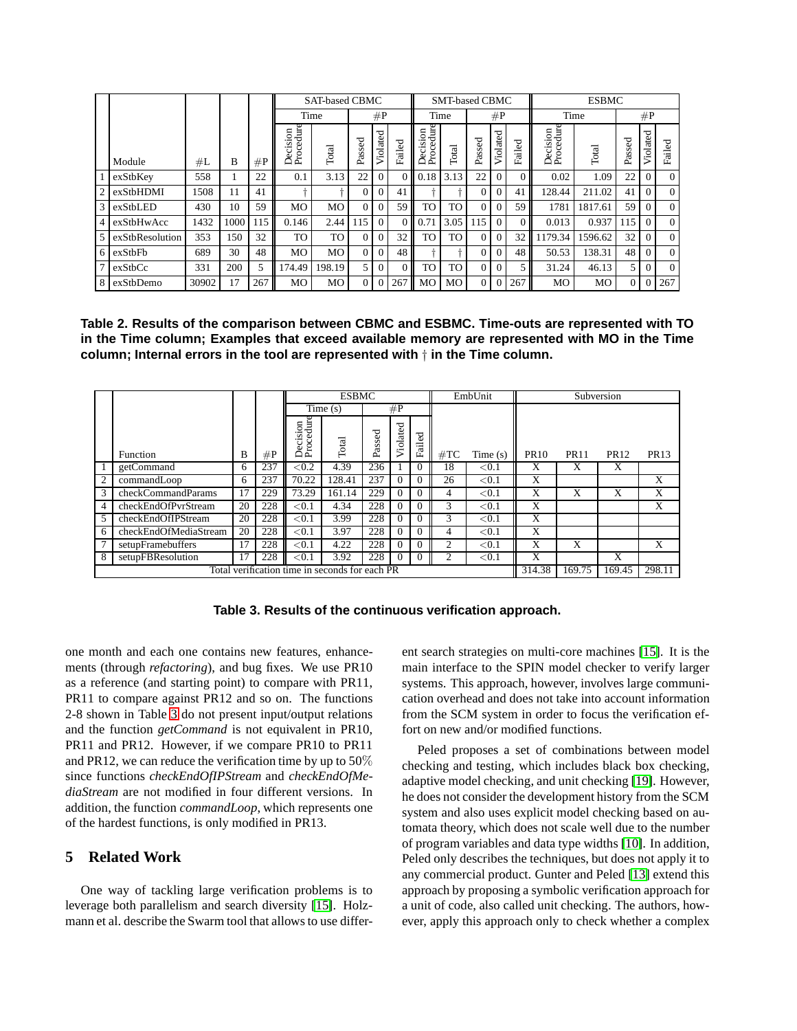|                |                 |       |      |       |                                                              | <b>SAT-based CBMC</b> |          |                      |                | <b>SMT-based CBMC</b> |           |                   |                |        | <b>ESBMC</b>          |         |               |           |          |
|----------------|-----------------|-------|------|-------|--------------------------------------------------------------|-----------------------|----------|----------------------|----------------|-----------------------|-----------|-------------------|----------------|--------|-----------------------|---------|---------------|-----------|----------|
|                |                 |       |      |       | Time                                                         |                       | #P       |                      | Time           |                       | #P        |                   |                | Time   |                       | #P      |               |           |          |
|                | Module          | #L    | в    | $\#P$ | edure<br>$\overline{\mathrm{m}}$<br>−<br>ۃ<br>σ<br>Proc<br>Å | Total                 | Passed   | $_{\rm{dated}}$<br>ら | Failed         | Decision<br>Procedure | Total     | c<br>9<br>ø<br>La | ated<br>ಠ<br>Š | Failed | Decision<br>Procedure | Total   | Passed        | ated<br>ಕ | Failed   |
|                | exStbKey        | 558   |      | 22    | 0.1                                                          | 3.13                  | 22       | $\Omega$             | $\overline{0}$ | 0.18                  | 3.13      | 22                |                |        | 0.02                  | 1.09    | 22            |           | $\Omega$ |
| 2              | exStbHDMI       | 1508  | 11   | 41    |                                                              |                       | $\Omega$ | $\Omega$             | 41             |                       |           | $\Omega$          |                | 41     | 128.44                | 211.02  | 41            | 0         | $\theta$ |
| $\overline{3}$ | exStbLED        | 430   | 10   | 59    | MO                                                           | M <sub>O</sub>        | $\Omega$ | 0                    | 59             | TO                    | TO        | $\Omega$          |                | 59     | 1781                  | 1817.61 | 59            | $\Omega$  | $\Omega$ |
| $\overline{4}$ | exStbHwAcc      | 1432  | 1000 | 115   | 0.146                                                        | 2.44                  | 115      | $\Omega$             |                | 0.71                  | 3.05      | 115               |                |        | 0.013                 | 0.937   | 115           | $\Omega$  | $\Omega$ |
| $\mathcal{F}$  | exStbResolution | 353   | 150  | 32    | TO                                                           | TO                    | $\Omega$ | $\Omega$             | 32             | TO                    | <b>TO</b> | $\Omega$          |                | 32     | 1179.34               | 1596.62 | 32            |           | $\Omega$ |
| 6 I            | exStbFb         | 689   | 30   | 48    | MO                                                           | M <sub>O</sub>        | $\Omega$ | $\Omega$             | 48             |                       |           | $\Omega$          |                | 48     | 50.53                 | 138.31  | 48            | $\Omega$  | $\theta$ |
| $\tau$         | exStbCc         | 331   | 200  | 5     | 174.49                                                       | 198.19                | 5        | $\Omega$             | $\Omega$       | <b>TO</b>             | <b>TO</b> | $\Omega$          |                |        | 31.24                 | 46.13   | $\mathcal{F}$ | $\Omega$  | $\theta$ |
| 8              | exStbDemo       | 30902 | 17   | 267   | MO                                                           | M <sub>O</sub>        | $\Omega$ | $\Omega$             | 267            | MO                    | MO        | 0                 |                | 267    | MO                    | MO      | $\Omega$      |           | 267      |

<span id="page-8-0"></span>**Table 2. Results of the comparison between CBMC and ESBMC. Time-outs are represented with TO in the Time column; Examples that exceed available memory are represented with MO in the Time column; Internal errors in the tool are represented with** † **in the Time column.**

|                |                                                |    |     | <b>ESBMC</b>                  |         |        |          |          |                | EmbUnit  | Subversion  |             |             |             |  |
|----------------|------------------------------------------------|----|-----|-------------------------------|---------|--------|----------|----------|----------------|----------|-------------|-------------|-------------|-------------|--|
|                |                                                |    |     |                               | Time(s) |        | #P       |          |                |          |             |             |             |             |  |
|                | Function                                       | B  | #P  | cision<br>ocedure<br>a<br>A E | Total   | Passed | Violated | Failed   | #TC<br>Time(s) |          | <b>PR10</b> | <b>PR11</b> | <b>PR12</b> | <b>PR13</b> |  |
|                | getCommand                                     | 6  | 237 | ${<}0.2$                      | 4.39    | 236    |          | $\Omega$ | 18             | < 0.1    | X           | X           | X           |             |  |
| $\overline{2}$ | commandLoop                                    | 6  | 237 | 70.22                         | 128.41  | 237    | $\Omega$ | $\Omega$ | 26             | ${<}0.1$ | X           |             |             | X           |  |
| 3              | checkCommandParams                             | 17 | 229 | 73.29                         | 161.14  | 229    | 0        | $\Omega$ | 4              | < 0.1    | X           | X           | X           | X           |  |
| $\overline{4}$ | checkEndOfPvrStream                            | 20 | 228 | ${<}0.1$                      | 4.34    | 228    | 0        | $\Omega$ | $\mathcal{R}$  | ${<}0.1$ | X           |             |             | X           |  |
| .5             | checkEndOfIPStream                             | 20 | 228 | ${<}0.1$                      | 3.99    | 228    | 0        | $\theta$ | 3              | ${<}0.1$ | X           |             |             |             |  |
| -6             | checkEndOfMediaStream                          | 20 | 228 | ${<}0.1$                      | 3.97    | 228    | 0        | $\Omega$ | 4              | ${<}0.1$ | X           |             |             |             |  |
|                | setupFramebuffers                              | 17 | 228 | ${<}0.1$                      | 4.22    | 228    | $\Omega$ | $\Omega$ | 2              | < 0.1    | X           | X           |             | X           |  |
| 8              | setupFBResolution                              | 17 | 228 | ${<}0.1$                      | 3.92    | 228    | 0        | $\Omega$ | 2              | < 0.1    | X           |             | X           |             |  |
|                | Total verification time in seconds for each PR |    |     |                               |         |        |          |          |                |          |             |             | 169.45      | 298.11      |  |

<span id="page-8-1"></span>**Table 3. Results of the continuous verification approach.**

one month and each one contains new features, enhancements (through *refactoring*), and bug fixes. We use PR10 as a reference (and starting point) to compare with PR11, PR11 to compare against PR12 and so on. The functions 2-8 shown in Table [3](#page-8-1) do not present input/output relations and the function *getCommand* is not equivalent in PR10, PR11 and PR12. However, if we compare PR10 to PR11 and PR12, we can reduce the verification time by up to 50% since functions *checkEndOfIPStream* and *checkEndOfMediaStream* are not modified in four different versions. In addition, the function *commandLoop*, which represents one of the hardest functions, is only modified in PR13.

# **5 Related Work**

One way of tackling large verification problems is to leverage both parallelism and search diversity [\[15\]](#page-9-13). Holzmann et al. describe the Swarm tool that allows to use different search strategies on multi-core machines [\[15\]](#page-9-13). It is the main interface to the SPIN model checker to verify larger systems. This approach, however, involves large communication overhead and does not take into account information from the SCM system in order to focus the verification effort on new and/or modified functions.

Peled proposes a set of combinations between model checking and testing, which includes black box checking, adaptive model checking, and unit checking [\[19\]](#page-9-14). However, he does not consider the development history from the SCM system and also uses explicit model checking based on automata theory, which does not scale well due to the number of program variables and data type widths [\[10\]](#page-9-15). In addition, Peled only describes the techniques, but does not apply it to any commercial product. Gunter and Peled [\[13\]](#page-9-16) extend this approach by proposing a symbolic verification approach for a unit of code, also called unit checking. The authors, however, apply this approach only to check whether a complex